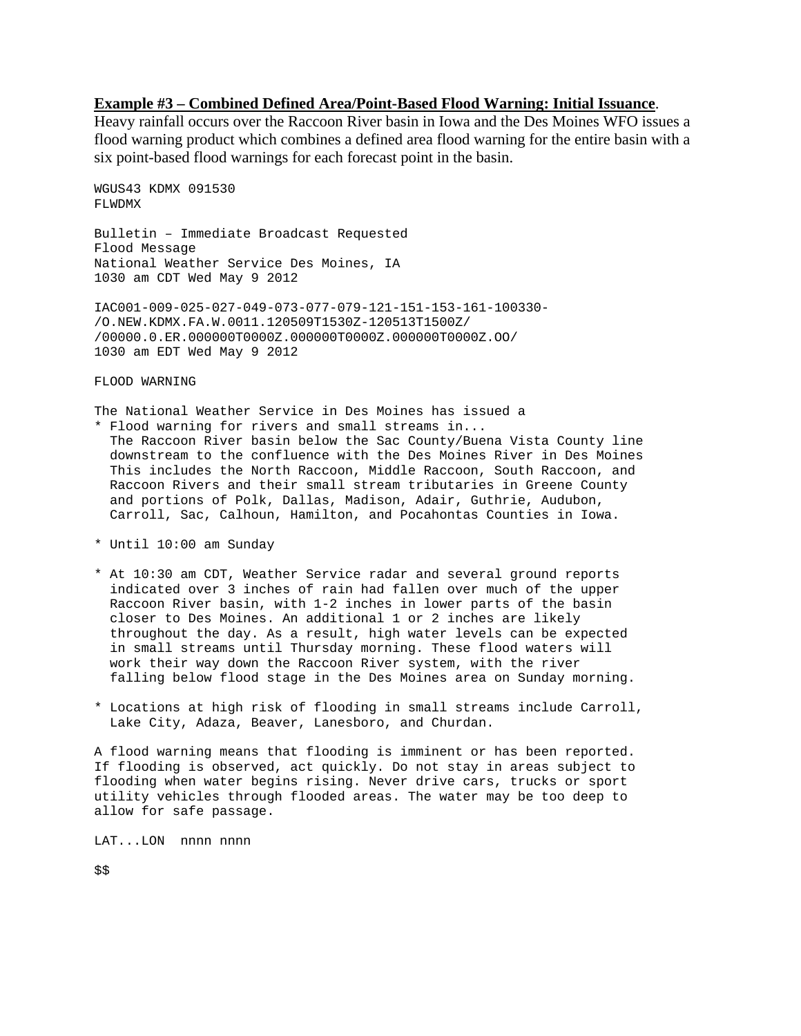## **Example #3 – Combined Defined Area/Point-Based Flood Warning: Initial Issuance**.

Heavy rainfall occurs over the Raccoon River basin in Iowa and the Des Moines WFO issues a flood warning product which combines a defined area flood warning for the entire basin with a six point-based flood warnings for each forecast point in the basin.

```
WGUS43 KDMX 091530 
FLWDMX
```
Bulletin – Immediate Broadcast Requested Flood Message National Weather Service Des Moines, IA 1030 am CDT Wed May 9 2012

IAC001-009-025-027-049-073-077-079-121-151-153-161-100330- /O.NEW.KDMX.FA.W.0011.120509T1530Z-120513T1500Z/ /00000.0.ER.000000T0000Z.000000T0000Z.000000T0000Z.OO/ 1030 am EDT Wed May 9 2012

FLOOD WARNING

The National Weather Service in Des Moines has issued a \* Flood warning for rivers and small streams in... The Raccoon River basin below the Sac County/Buena Vista County line downstream to the confluence with the Des Moines River in Des Moines This includes the North Raccoon, Middle Raccoon, South Raccoon, and Raccoon Rivers and their small stream tributaries in Greene County and portions of Polk, Dallas, Madison, Adair, Guthrie, Audubon, Carroll, Sac, Calhoun, Hamilton, and Pocahontas Counties in Iowa.

- \* Until 10:00 am Sunday
- \* At 10:30 am CDT, Weather Service radar and several ground reports indicated over 3 inches of rain had fallen over much of the upper Raccoon River basin, with 1-2 inches in lower parts of the basin closer to Des Moines. An additional 1 or 2 inches are likely throughout the day. As a result, high water levels can be expected in small streams until Thursday morning. These flood waters will work their way down the Raccoon River system, with the river falling below flood stage in the Des Moines area on Sunday morning.
- \* Locations at high risk of flooding in small streams include Carroll, Lake City, Adaza, Beaver, Lanesboro, and Churdan.

A flood warning means that flooding is imminent or has been reported. If flooding is observed, act quickly. Do not stay in areas subject to flooding when water begins rising. Never drive cars, trucks or sport utility vehicles through flooded areas. The water may be too deep to allow for safe passage.

LAT...LON nnnn nnnn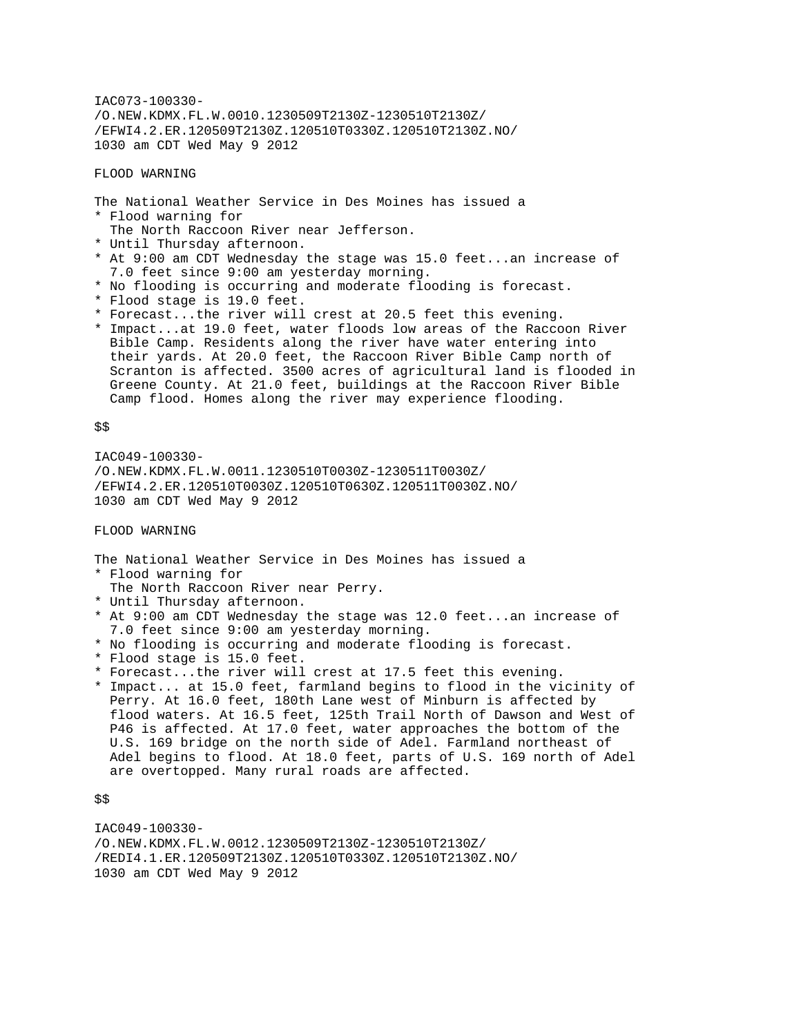IAC073-100330- /O.NEW.KDMX.FL.W.0010.1230509T2130Z-1230510T2130Z/ /EFWI4.2.ER.120509T2130Z.120510T0330Z.120510T2130Z.NO/ 1030 am CDT Wed May 9 2012

FLOOD WARNING

The National Weather Service in Des Moines has issued a \* Flood warning for The North Raccoon River near Jefferson. \* Until Thursday afternoon. \* At 9:00 am CDT Wednesday the stage was 15.0 feet...an increase of 7.0 feet since 9:00 am yesterday morning. \* No flooding is occurring and moderate flooding is forecast. \* Flood stage is 19.0 feet. \* Forecast...the river will crest at 20.5 feet this evening. \* Impact...at 19.0 feet, water floods low areas of the Raccoon River

 Bible Camp. Residents along the river have water entering into their yards. At 20.0 feet, the Raccoon River Bible Camp north of Scranton is affected. 3500 acres of agricultural land is flooded in Greene County. At 21.0 feet, buildings at the Raccoon River Bible Camp flood. Homes along the river may experience flooding.

\$\$

IAC049-100330- /O.NEW.KDMX.FL.W.0011.1230510T0030Z-1230511T0030Z/ /EFWI4.2.ER.120510T0030Z.120510T0630Z.120511T0030Z.NO/ 1030 am CDT Wed May 9 2012

FLOOD WARNING

The National Weather Service in Des Moines has issued a \* Flood warning for

- The North Raccoon River near Perry.
- \* Until Thursday afternoon.
- \* At 9:00 am CDT Wednesday the stage was 12.0 feet...an increase of 7.0 feet since 9:00 am yesterday morning.
- \* No flooding is occurring and moderate flooding is forecast.
- \* Flood stage is 15.0 feet.
- \* Forecast...the river will crest at 17.5 feet this evening.
- \* Impact... at 15.0 feet, farmland begins to flood in the vicinity of Perry. At 16.0 feet, 180th Lane west of Minburn is affected by flood waters. At 16.5 feet, 125th Trail North of Dawson and West of P46 is affected. At 17.0 feet, water approaches the bottom of the U.S. 169 bridge on the north side of Adel. Farmland northeast of Adel begins to flood. At 18.0 feet, parts of U.S. 169 north of Adel are overtopped. Many rural roads are affected.

\$\$

IAC049-100330- /O.NEW.KDMX.FL.W.0012.1230509T2130Z-1230510T2130Z/ /REDI4.1.ER.120509T2130Z.120510T0330Z.120510T2130Z.NO/ 1030 am CDT Wed May 9 2012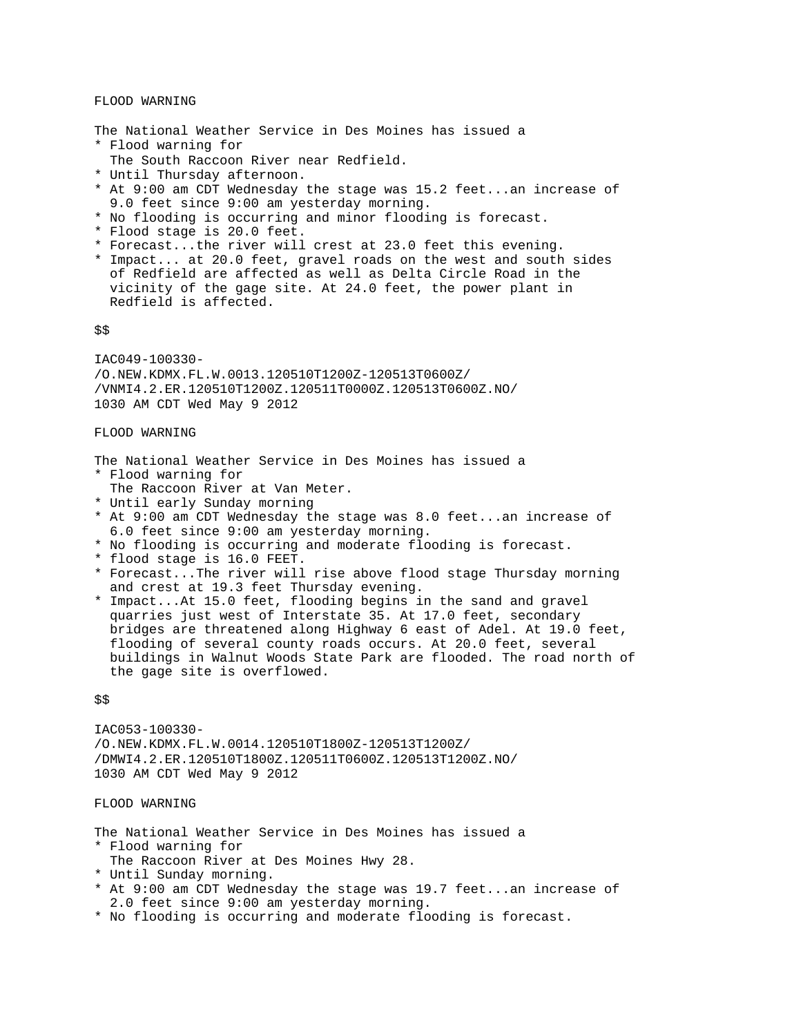### FLOOD WARNING

The National Weather Service in Des Moines has issued a \* Flood warning for

- The South Raccoon River near Redfield.
- \* Until Thursday afternoon.
- \* At 9:00 am CDT Wednesday the stage was 15.2 feet...an increase of 9.0 feet since 9:00 am yesterday morning.
- \* No flooding is occurring and minor flooding is forecast.
- \* Flood stage is 20.0 feet.
- \* Forecast...the river will crest at 23.0 feet this evening.
- \* Impact... at 20.0 feet, gravel roads on the west and south sides of Redfield are affected as well as Delta Circle Road in the vicinity of the gage site. At 24.0 feet, the power plant in Redfield is affected.

\$\$

IAC049-100330- /O.NEW.KDMX.FL.W.0013.120510T1200Z-120513T0600Z/ /VNMI4.2.ER.120510T1200Z.120511T0000Z.120513T0600Z.NO/ 1030 AM CDT Wed May 9 2012

### FLOOD WARNING

The National Weather Service in Des Moines has issued a \* Flood warning for

- The Raccoon River at Van Meter.
- \* Until early Sunday morning
- \* At 9:00 am CDT Wednesday the stage was 8.0 feet...an increase of 6.0 feet since 9:00 am yesterday morning.
- \* No flooding is occurring and moderate flooding is forecast.
- \* flood stage is 16.0 FEET.
- \* Forecast...The river will rise above flood stage Thursday morning and crest at 19.3 feet Thursday evening.
- \* Impact...At 15.0 feet, flooding begins in the sand and gravel quarries just west of Interstate 35. At 17.0 feet, secondary bridges are threatened along Highway 6 east of Adel. At 19.0 feet, flooding of several county roads occurs. At 20.0 feet, several buildings in Walnut Woods State Park are flooded. The road north of the gage site is overflowed.

\$\$

IAC053-100330- /O.NEW.KDMX.FL.W.0014.120510T1800Z-120513T1200Z/ /DMWI4.2.ER.120510T1800Z.120511T0600Z.120513T1200Z.NO/ 1030 AM CDT Wed May 9 2012

#### FLOOD WARNING

The National Weather Service in Des Moines has issued a

- \* Flood warning for
- The Raccoon River at Des Moines Hwy 28.
- \* Until Sunday morning.
- \* At 9:00 am CDT Wednesday the stage was 19.7 feet...an increase of 2.0 feet since 9:00 am yesterday morning.
- \* No flooding is occurring and moderate flooding is forecast.